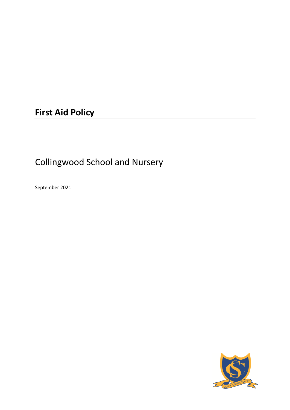# **First Aid Policy**

# Collingwood School and Nursery

September 2021

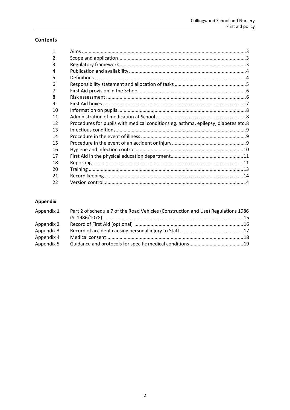# **Contents**

| 1              |                                                                                    |  |
|----------------|------------------------------------------------------------------------------------|--|
| $\overline{2}$ |                                                                                    |  |
| 3              |                                                                                    |  |
| 4              |                                                                                    |  |
| 5              |                                                                                    |  |
| 6              |                                                                                    |  |
| 7              |                                                                                    |  |
| 8              |                                                                                    |  |
| 9              |                                                                                    |  |
| 10             |                                                                                    |  |
| 11             |                                                                                    |  |
| 12             | Procedures for pupils with medical conditions eg. asthma, epilepsy, diabetes etc.8 |  |
| 13             |                                                                                    |  |
| 14             |                                                                                    |  |
| 15             |                                                                                    |  |
| 16             |                                                                                    |  |
| 17             |                                                                                    |  |
| 18             |                                                                                    |  |
| 20             |                                                                                    |  |
| 21             |                                                                                    |  |
| 22             |                                                                                    |  |

# Appendix

| Appendix 1 | Part 2 of schedule 7 of the Road Vehicles (Construction and Use) Regulations 1986 |  |  |
|------------|-----------------------------------------------------------------------------------|--|--|
|            |                                                                                   |  |  |
| Appendix 2 |                                                                                   |  |  |
| Appendix 3 |                                                                                   |  |  |
| Appendix 4 |                                                                                   |  |  |
| Appendix 5 |                                                                                   |  |  |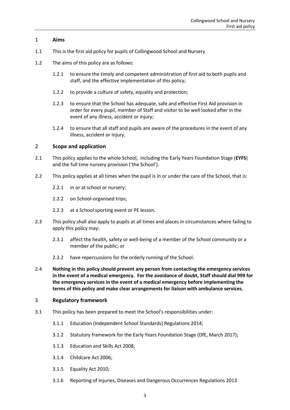# <span id="page-2-0"></span>1 **Aims**

- 1.1 This is the first aid policy for pupils of Collingwood School and Nursery
- 1.2 The aims of this policy are as follows:
	- 1.2.1 to ensure the timely and competent administration of first aid to both pupils and staff, and the effective implementation of this policy;
	- 1.2.2 to provide a culture of safety, equality and protection;
	- 1.2.3 to ensure that the School has adequate, safe and effective First Aid provision in order for every pupil, member of Staff and visitor to be well looked after in the event of any illness, accident or injury;
	- 1.2.4 to ensure that all staff and pupils are aware of the procedures in the event of any illness, accident or injury.

# <span id="page-2-1"></span>2 **Scope and application**

- 2.1 This policy applies to the whole School, including the Early Years Foundation Stage (**EYFS**) and the full time nursery provision ('the School').
- 2.2 This policy applies at all times when the pupil is in or under the care of the School, that is:
	- 2.2.1 in or at school or nursery;
	- 2.2.2 on School-organised trips;
	- 2.2.3 at a School sporting event or PE lesson.
- 2.3 This policy shall also apply to pupils at all times and places in circumstances where failing to apply this policy may:
	- 2.3.1 affect the health, safety or well-being of a member of the School community or a member of the public; or
	- 2.3.2 have repercussions for the orderly running of the School.
- 2.4 **Nothing in this policy should prevent any person from contacting the emergency services in the event of a medical emergency. For the avoidance of doubt, Staff should dial 999 for the emergency services in the event of a medical emergency before implementing the terms of this policy and make clear arrangements for liaison with ambulance services.**

#### <span id="page-2-2"></span>3 **Regulatory framework**

- 3.1 This policy has been prepared to meet the School's responsibilities under:
	- 3.1.1 Education (Independent School Standards) Regulations 2014;
	- 3.1.2 Statutory framework for the Early Years Foundation Stage (DfE, March 2017);
	- 3.1.3 Education and Skills Act 2008;
	- 3.1.4 Childcare Act 2006;
	- 3.1.5 Equality Act 2010;
	- 3.1.6 Reporting of Injuries, Diseases and Dangerous Occurrences Regulations 2013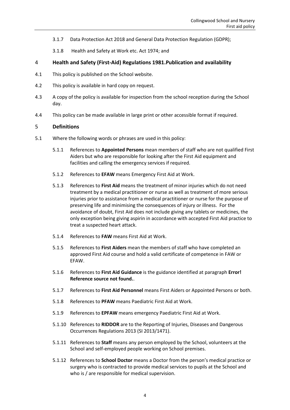- 3.1.7 Data Protection Act 2018 and General Data Protection Regulation (GDPR);
- <span id="page-3-0"></span>3.1.8 Health and Safety at Work etc. Act 1974; and
- 4 **Health and Safety (First-Aid) Regulations 1981.Publication and availability**
- 4.1 This policy is published on the School website.
- 4.2 This policy is available in hard copy on request.
- 4.3 A copy of the policy is available for inspection from the school reception during the School day.
- 4.4 This policy can be made available in large print or other accessible format if required.

# <span id="page-3-1"></span>5 **Definitions**

- 5.1 Where the following words or phrases are used in this policy:
	- 5.1.1 References to **Appointed Persons** mean members of staff who are not qualified First Aiders but who are responsible for looking after the First Aid equipment and facilities and calling the emergency services if required.
	- 5.1.2 References to **EFAW** means Emergency First Aid at Work.
	- 5.1.3 References to **First Aid** means the treatment of minor injuries which do not need treatment by a medical practitioner or nurse as well as treatment of more serious injuries prior to assistance from a medical practitioner or nurse for the purpose of preserving life and minimising the consequences of injury or illness. For the avoidance of doubt, First Aid does not include giving any tablets or medicines, the only exception being giving aspirin in accordance with accepted First Aid practice to treat a suspected heart attack.
	- 5.1.4 References to **FAW** means First Aid at Work.
	- 5.1.5 References to **First Aiders** mean the members of staff who have completed an approved First Aid course and hold a valid certificate of competence in FAW or EFAW.
	- 5.1.6 References to **First Aid Guidance** is the guidance identified at paragraph **Error! Reference source not found.**.
	- 5.1.7 References to **First Aid Personnel** means First Aiders or Appointed Persons or both.
	- 5.1.8 References to **PFAW** means Paediatric First Aid at Work.
	- 5.1.9 References to **EPFAW** means emergency Paediatric First Aid at Work.
	- 5.1.10 References to **RIDDOR** are to the Reporting of Injuries, Diseases and Dangerous Occurrences Regulations 2013 (SI 2013/1471).
	- 5.1.11 References to **Staff** means any person employed by the School, volunteers at the School and self-employed people working on School premises.
	- 5.1.12 References to **School Doctor** means a Doctor from the person's medical practice or surgery who is contracted to provide medical services to pupils at the School and who is / are responsible for medical supervision.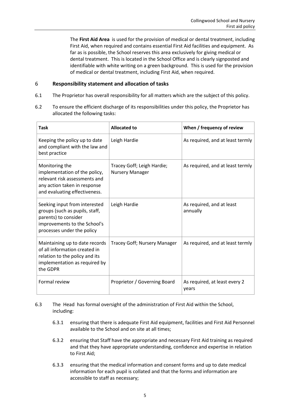The **First Aid Area** is used for the provision of medical or dental treatment, including First Aid, when required and contains essential First Aid facilities and equipment. As far as is possible, the School reserves this area exclusively for giving medical or dental treatment. This is located in the School Office and is clearly signposted and identifiable with white writing on a green background. This is used for the provision of medical or dental treatment, including First Aid, when required.

# <span id="page-4-0"></span>6 **Responsibility statement and allocation of tasks**

- 6.1 The Proprietor has overall responsibility for all matters which are the subject of this policy.
- 6.2 To ensure the efficient discharge of its responsibilities under this policy, the Proprietor has allocated the following tasks:

| Task                                                                                                                                                  | <b>Allocated to</b>                                  | When / frequency of review             |
|-------------------------------------------------------------------------------------------------------------------------------------------------------|------------------------------------------------------|----------------------------------------|
| Keeping the policy up to date<br>and compliant with the law and<br>best practice                                                                      | Leigh Hardie                                         | As required, and at least termly       |
| Monitoring the<br>implementation of the policy,<br>relevant risk assessments and<br>any action taken in response<br>and evaluating effectiveness.     | Tracey Goff; Leigh Hardie;<br><b>Nursery Manager</b> | As required, and at least termly       |
| Seeking input from interested<br>groups (such as pupils, staff,<br>parents) to consider<br>improvements to the School's<br>processes under the policy | Leigh Hardie                                         | As required, and at least<br>annually  |
| Maintaining up to date records<br>of all information created in<br>relation to the policy and its<br>implementation as required by<br>the GDPR        | Tracey Goff; Nursery Manager                         | As required, and at least termly       |
| Formal review                                                                                                                                         | Proprietor / Governing Board                         | As required, at least every 2<br>years |

# 6.3 The Head has formal oversight of the administration of First Aid within the School, including:

- 6.3.1 ensuring that there is adequate First Aid equipment, facilities and First Aid Personnel available to the School and on site at all times;
- 6.3.2 ensuring that Staff have the appropriate and necessary First Aid training as required and that they have appropriate understanding, confidence and expertise in relation to First Aid;
- 6.3.3 ensuring that the medical information and consent forms and up to date medical information for each pupil is collated and that the forms and information are accessible to staff as necessary;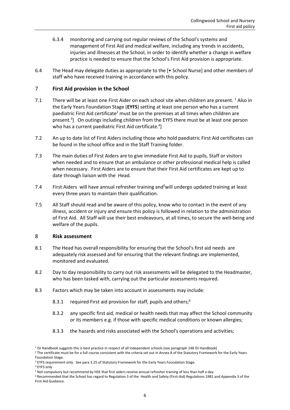- 6.3.4 monitoring and carrying out regular reviews of the School's systems and management of First Aid and medical welfare, including any trends in accidents, injuries and illnesses at the School, in order to identify whether a change in welfare practice is needed to ensure that the School's First Aid provision is appropriate.
- 6.4 The Head may delegate duties as appropriate to the [• School Nurse] and other members of staff who have received training in accordance with this policy.

# <span id="page-5-0"></span>7 **First Aid provision in the School**

- 7.1 There will be at least one First Aider on each school site when children are present. <sup>1</sup> Also in the Early Years Foundation Stage (**EYFS**) setting at least one person who has a current paediatric First Aid certificate<sup>2</sup> must be on the premises at all times when children are present.<sup>3</sup>] On outings including children from the EYFS there must be at least one person who has a current paediatric First Aid certificate. $4$ ]
- 7.2 An up to date list of First Aiders including those who hold paediatric First Aid certificates can be found in the school office and in the Staff Training folder.
- 7.3 The main duties of First Aiders are to give immediate First Aid to pupils, Staff or visitors when needed and to ensure that an ambulance or other professional medical help is called when necessary. First Aiders are to ensure that their First Aid certificates are kept up to date through liaison with the Head.
- 7.4 First Aiders will have annual refresher training and<sup>5</sup>will undergo updated training at least every three years to maintain their qualification.
- 7.5 All Staff should read and be aware of this policy, know who to contact in the event of any illness, accident or injury and ensure this policy is followed in relation to the administration of First Aid. All Staff will use their best endeavours, at all times, to secure the well-being and welfare of the pupils.

#### <span id="page-5-1"></span>8 **Risk assessment**

- 8.1 The Head has overall responsibility for ensuring that the School's first aid needs are adequately risk assessed and for ensuring that the relevant findings are implemented, monitored and evaluated.
- 8.2 Day to day responsibility to carry out risk assessments will be delegated to the Headmaster, who has been tasked with, carrying out the particular assessments required.
- 8.3 Factors which may be taken into account in assessments may include:
	- 8.3.1 required First aid provision for staff, pupils and others;<sup>6</sup>
	- 8.3.2 any specific first aid, medical or health needs that may affect the School community or its members e.g. if those with specific medical conditions or known allergies;
	- 8.3.3 the hazards and risks associated with the School's operations and activities;

<sup>4</sup> EYFS only

<sup>&</sup>lt;sup>1</sup> ISI Handbook suggests this is best practice in respect of all independent schools (see paragraph 148 ISI Handbook)

<sup>&</sup>lt;sup>2</sup> The certificate must be for a full course consistent with the criteria set out in Annex A of the Statutory Framework for the Early Years Foundation Stage.

<sup>&</sup>lt;sup>3</sup> EYFS requirement only. See para 3.25 of Statutory Framework for the Early Years Foundation Stage.

<sup>5</sup> Not compulsory but recommend by HSE that first aiders receive annual refresher training of less than half a day.

<sup>6</sup> Recommended that the School has regard to Regulation 3 of the Health and Safety (First-Aid) Regulations 1981 and Appendix 3 of the First Aid Guidance.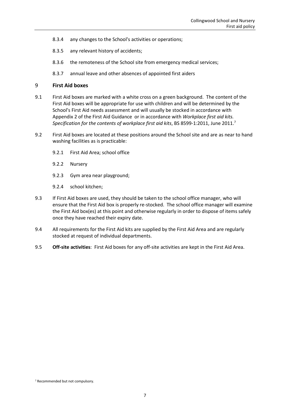- 8.3.4 any changes to the School's activities or operations;
- 8.3.5 any relevant history of accidents;
- 8.3.6 the remoteness of the School site from emergency medical services;
- 8.3.7 annual leave and other absences of appointed first aiders

#### <span id="page-6-0"></span>9 **First Aid boxes**

- 9.1 First Aid boxes are marked with a white cross on a green background. The content of the First Aid boxes will be appropriate for use with children and will be determined by the School's First Aid needs assessment and will usually be stocked in accordance with Appendix 2 of the First Aid Guidance or in accordance with *Workplace first aid kits. Specification for the contents of workplace first aid kits*, BS 8599-1:2011, June 2011. 7
- 9.2 First Aid boxes are located at these positions around the School site and are as near to hand washing facilities as is practicable:
	- 9.2.1 First Aid Area; school office
	- 9.2.2 Nursery
	- 9.2.3 Gym area near playground;
	- 9.2.4 school kitchen;
- 9.3 If First Aid boxes are used, they should be taken to the school office manager, who will ensure that the First Aid box is properly re-stocked. The school office manager will examine the First Aid box(es) at this point and otherwise regularly in order to dispose of items safely once they have reached their expiry date.
- 9.4 All requirements for the First Aid kits are supplied by the First Aid Area and are regularly stocked at request of individual departments.
- 9.5 **Off-site activities**: First Aid boxes for any off-site activities are kept in the First Aid Area.

<sup>7</sup> Recommended but not compulsory.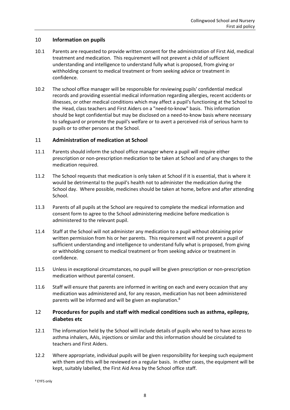# <span id="page-7-0"></span>10 **Information on pupils**

- 10.1 Parents are requested to provide written consent for the administration of First Aid, medical treatment and medication. This requirement will not prevent a child of sufficient understanding and intelligence to understand fully what is proposed, from giving or withholding consent to medical treatment or from seeking advice or treatment in confidence.
- 10.2 The school office manager will be responsible for reviewing pupils' confidential medical records and providing essential medical information regarding allergies, recent accidents or illnesses, or other medical conditions which may affect a pupil's functioning at the School to the Head, class teachers and First Aiders on a "need-to-know" basis. This information should be kept confidential but may be disclosed on a need-to-know basis where necessary to safeguard or promote the pupil's welfare or to avert a perceived risk of serious harm to pupils or to other persons at the School.

# <span id="page-7-1"></span>11 **Administration of medication at School**

- 11.1 Parents should inform the school office manager where a pupil will require either prescription or non-prescription medication to be taken at School and of any changes to the medication required.
- 11.2 The School requests that medication is only taken at School if it is essential, that is where it would be detrimental to the pupil's health not to administer the medication during the School day. Where possible, medicines should be taken at home, before and after attending School.
- 11.3 Parents of all pupils at the School are required to complete the medical information and consent form to agree to the School administering medicine before medication is administered to the relevant pupil.
- 11.4 Staff at the School will not administer any medication to a pupil without obtaining prior written permission from his or her parents. This requirement will not prevent a pupil of sufficient understanding and intelligence to understand fully what is proposed, from giving or withholding consent to medical treatment or from seeking advice or treatment in confidence.
- 11.5 Unless in exceptional circumstances, no pupil will be given prescription or non-prescription medication without parental consent.
- 11.6 Staff will ensure that parents are informed in writing on each and every occasion that any medication was administered and, for any reason, medication has not been administered parents will be informed and will be given an explanation.<sup>8</sup>

# <span id="page-7-2"></span>12 **Procedures for pupils and staff with medical conditions such as asthma, epilepsy, diabetes etc**

- 12.1 The information held by the School will include details of pupils who need to have access to asthma inhalers, AAIs, injections or similar and this information should be circulated to teachers and First Aiders.
- 12.2 Where appropriate, individual pupils will be given responsibility for keeping such equipment with them and this will be reviewed on a regular basis. In other cases, the equipment will be kept, suitably labelled, the First Aid Area by the School office staff.

<sup>8</sup> EYFS only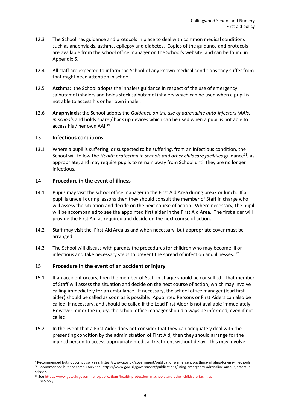- 12.3 The School has guidance and protocols in place to deal with common medical conditions such as anaphylaxis, asthma, epilepsy and diabetes. Copies of the guidance and protocols are available from the school office manager on the School's website and can be found in [Appendix 5.](#page-18-0)
- 12.4 All staff are expected to inform the School of any known medical conditions they suffer from that might need attention in school.
- 12.5 **Asthma**: the School adopts the inhalers guidance in respect of the use of emergency salbutamol inhalers and holds stock salbutamol inhalers which can be used when a pupil is not able to access his or her own inhaler.<sup>9</sup>
- 12.6 **Anaphylaxis**: the School adopts the *Guidance on the use of adrenaline auto-injectors (AAIs) in schools* and holds spare / back up devices which can be used when a pupil is not able to access his / her own AAI. 10

# <span id="page-8-0"></span>13 **Infectious conditions**

13.1 Where a pupil is suffering, or suspected to be suffering, from an infectious condition, the School will follow the *Health protection in schools and other childcare facilities* guidance<sup>11</sup>, as appropriate, and may require pupils to remain away from School until they are no longer infectious.

# <span id="page-8-1"></span>14 **Procedure in the event of illness**

- 14.1 Pupils may visit the school office manager in the First Aid Area during break or lunch. If a pupil is unwell during lessons then they should consult the member of Staff in charge who will assess the situation and decide on the next course of action. Where necessary, the pupil will be accompanied to see the appointed first aider in the First Aid Area. The first aider will provide the First Aid as required and decide on the next course of action.
- 14.2 Staff may visit the First Aid Area as and when necessary, but appropriate cover must be arranged.
- 14.3 The School will discuss with parents the procedures for children who may become ill or infectious and take necessary steps to prevent the spread of infection and illnesses.<sup>12</sup>

# <span id="page-8-2"></span>15 **Procedure in the event of an accident or injury**

- 15.1 If an accident occurs, then the member of Staff in charge should be consulted. That member of Staff will assess the situation and decide on the next course of action, which may involve calling immediately for an ambulance. If necessary, the school office manager (lead first aider) should be called as soon as is possible. Appointed Persons or First Aiders can also be called, if necessary, and should be called if the Lead First Aider is not available immediately. However minor the injury, the school office manager should always be informed, even if not called.
- 15.2 In the event that a First Aider does not consider that they can adequately deal with the presenting condition by the administration of First Aid, then they should arrange for the injured person to access appropriate medical treatment without delay. This may involve

<sup>9</sup> Recommended but not compulsory see: https://www.gov.uk/government/publications/emergency-asthma-inhalers-for-use-in-schools <sup>10</sup> Recommended but not compulsory see: https://www.gov.uk/government/publications/using-emergency-adrenaline-auto-injectors-inschools

<sup>11</sup> Se[e https://www.gov.uk/government/publications/health-protection-in-schools-and-other-childcare-facilities](https://www.gov.uk/government/publications/health-protection-in-schools-and-other-childcare-facilities)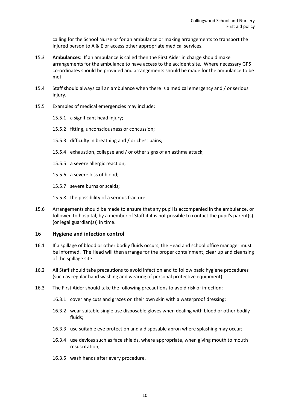calling for the School Nurse or for an ambulance or making arrangements to transport the injured person to A & E or access other appropriate medical services.

- 15.3 **Ambulances**: If an ambulance is called then the First Aider in charge should make arrangements for the ambulance to have access to the accident site. Where necessary GPS co-ordinates should be provided and arrangements should be made for the ambulance to be met.
- 15.4 Staff should always call an ambulance when there is a medical emergency and / or serious injury.
- 15.5 Examples of medical emergencies may include:
	- 15.5.1 a significant head injury;
	- 15.5.2 fitting, unconsciousness or concussion;
	- 15.5.3 difficulty in breathing and / or chest pains;
	- 15.5.4 exhaustion, collapse and / or other signs of an asthma attack;
	- 15.5.5 a severe allergic reaction;
	- 15.5.6 a severe loss of blood;
	- 15.5.7 severe burns or scalds;
	- 15.5.8 the possibility of a serious fracture.
- 15.6 Arrangements should be made to ensure that any pupil is accompanied in the ambulance, or followed to hospital, by a member of Staff if it is not possible to contact the pupil's parent(s) (or legal guardian(s)) in time.

#### <span id="page-9-0"></span>16 **Hygiene and infection control**

- 16.1 If a spillage of blood or other bodily fluids occurs, the Head and school office manager must be informed. The Head will then arrange for the proper containment, clear up and cleansing of the spillage site.
- 16.2 All Staff should take precautions to avoid infection and to follow basic hygiene procedures (such as regular hand washing and wearing of personal protective equipment).
- 16.3 The First Aider should take the following precautions to avoid risk of infection:
	- 16.3.1 cover any cuts and grazes on their own skin with a waterproof dressing;
	- 16.3.2 wear suitable single use disposable gloves when dealing with blood or other bodily fluids;
	- 16.3.3 use suitable eye protection and a disposable apron where splashing may occur;
	- 16.3.4 use devices such as face shields, where appropriate, when giving mouth to mouth resuscitation;
	- 16.3.5 wash hands after every procedure.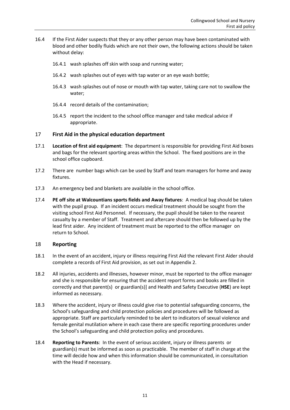- 16.4 If the First Aider suspects that they or any other person may have been contaminated with blood and other bodily fluids which are not their own, the following actions should be taken without delay:
	- 16.4.1 wash splashes off skin with soap and running water;
	- 16.4.2 wash splashes out of eyes with tap water or an eye wash bottle;
	- 16.4.3 wash splashes out of nose or mouth with tap water, taking care not to swallow the water;
	- 16.4.4 record details of the contamination;
	- 16.4.5 report the incident to the school office manager and take medical advice if appropriate.

# <span id="page-10-0"></span>17 **First Aid in the physical education department**

- 17.1 **Location of first aid equipment**: The department is responsible for providing First Aid boxes and bags for the relevant sporting areas within the School. The fixed positions are in the school office cupboard.
- 17.2 There are number bags which can be used by Staff and team managers for home and away fixtures.
- 17.3 An emergency bed and blankets are available in the school office.
- 17.4 **PE off site at Walcountians sports fields and Away fixtures**: A medical bag should be taken with the pupil group. If an incident occurs medical treatment should be sought from the visiting school First Aid Personnel. If necessary, the pupil should be taken to the nearest casualty by a member of Staff. Treatment and aftercare should then be followed up by the lead first aider. Any incident of treatment must be reported to the office manager on return to School.

#### <span id="page-10-1"></span>18 **Reporting**

- 18.1 In the event of an accident, injury or illness requiring First Aid the relevant First Aider should complete a records of First Aid provision, as set out i[n Appendix 2.](#page-15-0)
- 18.2 All injuries, accidents and illnesses, however minor, must be reported to the office manager and she is responsible for ensuring that the accident report forms and books are filled in correctly and that parent(s) or guardian(s)] and Health and Safety Executive (**HSE**) are kept informed as necessary.
- 18.3 Where the accident, injury or illness could give rise to potential safeguarding concerns, the School's safeguarding and child protection policies and procedures will be followed as appropriate. Staff are particularly reminded to be alert to indicators of sexual violence and female genital mutilation where in each case there are specific reporting procedures under the School's safeguarding and child protection policy and procedures.
- 18.4 **Reporting to Parents**: In the event of serious accident, injury or illness parents or guardian(s) must be informed as soon as practicable. The member of staff in charge at the time will decide how and when this information should be communicated, in consultation with the Head if necessary.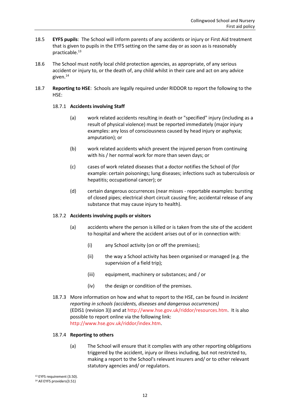- 18.5 **EYFS pupils**: The School will inform parents of any accidents or injury or First Aid treatment that is given to pupils in the EYFS setting on the same day or as soon as is reasonably practicable.<sup>13</sup>
- 18.6 The School must notify local child protection agencies, as appropriate, of any serious accident or injury to, or the death of, any child whilst in their care and act on any advice given.<sup>14</sup>
- 18.7 **Reporting to HSE**: Schools are legally required under RIDDOR to report the following to the HSE:

# 18.7.1 **Accidents involving Staff**

- (a) work related accidents resulting in death or "specified" injury (including as a result of physical violence) must be reported immediately (major injury examples: any loss of consciousness caused by head injury or asphyxia; amputation); or
- (b) work related accidents which prevent the injured person from continuing with his / her normal work for more than seven days; or
- (c) cases of work related diseases that a doctor notifies the School of (for example: certain poisonings; lung diseases; infections such as tuberculosis or hepatitis; occupational cancer); or
- (d) certain dangerous occurrences (near misses reportable examples: bursting of closed pipes; electrical short circuit causing fire; accidental release of any substance that may cause injury to health).

#### 18.7.2 **Accidents involving pupils or visitors**

- (a) accidents where the person is killed or is taken from the site of the accident to hospital and where the accident arises out of or in connection with:
	- (i) any School activity (on or off the premises);
	- (ii) the way a School activity has been organised or managed (e.g. the supervision of a field trip);
	- (iii) equipment, machinery or substances; and / or
	- (iv) the design or condition of the premises.
- 18.7.3 More information on how and what to report to the HSE, can be found in *Incident reporting in schools (accidents, diseases and dangerous occurrences)* (EDIS1 (revision 3)) and at [http://www.hse.gov.uk/riddor/resources.htm.](http://www.hse.gov.uk/riddor/resources.htm) It is also possible to report online via the following link: [http://www.hse.gov.uk/riddor/index.htm.](http://www.hse.gov.uk/riddor/index.htm)

#### 18.7.4 **Reporting to others**

(a) The School will ensure that it complies with any other reporting obligations triggered by the accident, injury or illness including, but not restricted to, making a report to the School's relevant insurers and/ or to other relevant statutory agencies and/ or regulators.

<sup>13</sup> EYFS requirement (3.50).

<sup>14</sup> All EYFS providers(3.51)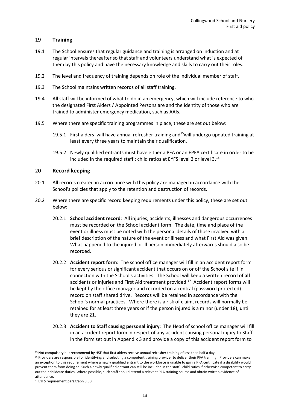# <span id="page-12-0"></span>19 **Training**

- 19.1 The School ensures that regular guidance and training is arranged on induction and at regular intervals thereafter so that staff and volunteers understand what is expected of them by this policy and have the necessary knowledge and skills to carry out their roles.
- 19.2 The level and frequency of training depends on role of the individual member of staff.
- 19.3 The School maintains written records of all staff training.
- 19.4 All staff will be informed of what to do in an emergency, which will include reference to who the designated First Aiders / Appointed Persons are and the identity of those who are trained to administer emergency medication, such as AAIs.
- 19.5 Where there are specific training programmes in place, these are set out below:
	- 19.5.1 First aiders will have annual refresher training and<sup>15</sup>will undergo updated training at least every three years to maintain their qualification.
	- 19.5.2 Newly qualified entrants must have either a PFA or an EPFA certificate in order to be included in the required staff : child ratios at EYFS level 2 or level 3.<sup>16</sup>

# <span id="page-12-1"></span>20 **Record keeping**

- 20.1 All records created in accordance with this policy are managed in accordance with the School's policies that apply to the retention and destruction of records.
- 20.2 Where there are specific record keeping requirements under this policy, these are set out below:
	- 20.2.1 **School accident record**: All injuries, accidents, illnesses and dangerous occurrences must be recorded on the School accident form. The date, time and place of the event or illness must be noted with the personal details of those involved with a brief description of the nature of the event or illness and what First Aid was given. What happened to the injured or ill person immediately afterwards should also be recorded.
	- 20.2.2 **Accident report form**: The school office manager will fill in an accident report form for every serious or significant accident that occurs on or off the School site if in connection with the School's activities. The School will keep a written record of **all** accidents or injuries and First Aid treatment provided. 17 Accident report forms will be kept by the office manager and recorded on a central (password protected) record on staff shared drive. Records will be retained in accordance with the School's normal practices. Where there is a risk of claim, records will normally be retained for at least three years or if the person injured is a minor (under 18), until they are 21.
	- 20.2.3 **Accident to Staff causing personal injury**: The Head of school office manager will fill in an accident report form in respect of any accident causing personal injury to Staff in the form set out in [Appendix 3](#page-16-0) and provide a copy of this accident report form to

<sup>&</sup>lt;sup>15</sup> Not compulsory but recommend by HSE that first aiders receive annual refresher training of less than half a day.

<sup>&</sup>lt;sup>16</sup> Providers are responsible for identifying and selecting a competent training provider to deliver their PFA training. Providers can make an exception to this requirement where a newly qualified entrant to the workforce is unable to gain a PFA certificate if a disability would prevent them from doing so. Such a newly qualified entrant can still be included in the staff : child ratios if otherwise competent to carry out their childcare duties. Where possible, such staff should attend a relevant PFA training course and obtain written evidence of attendance.

<sup>&</sup>lt;sup>17</sup> EYFS requirement paragraph 3.50.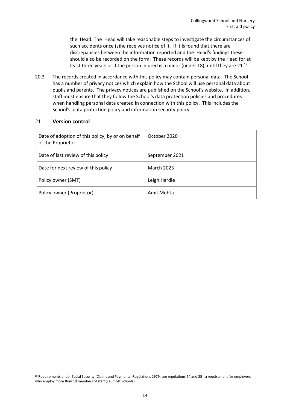the Head. The Head will take reasonable steps to investigate the circumstances of such accidents once (s)he receives notice of it. If it is found that there are discrepancies between the information reported and the Head's findings these should also be recorded on the form. These records will be kept by the Head for at least three years or if the person injured is a minor (under 18), until they are 21.<sup>18</sup>

20.3 The records created in accordance with this policy may contain personal data. The School has a number of privacy notices which explain how the School will use personal data about pupils and parents. The privacy notices are published on the School's website. In addition, staff must ensure that they follow the School's data protection policies and procedures when handling personal data created in connection with this policy. This includes the School's data protection policy and information security policy.

# <span id="page-13-0"></span>21 **Version control**

| Date of adoption of this policy, by or on behalf<br>of the Proprietor | October 2020      |
|-----------------------------------------------------------------------|-------------------|
| Date of last review of this policy                                    | September 2021    |
| Date for next review of this policy                                   | <b>March 2023</b> |
| Policy owner (SMT)                                                    | Leigh Hardie      |
| Policy owner (Proprietor)                                             | Amit Mehta        |

<sup>18</sup> Requirements under Social Security (Claims and Payments) Regulations 1979, see regulations 24 and 25 - a requirement for employers who employ more than 10 members of staff (i.e. most Schools).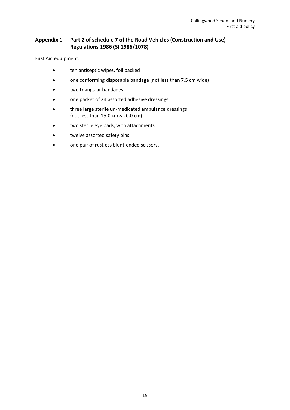# <span id="page-14-0"></span>**Appendix 1 Part 2 of schedule 7 of the Road Vehicles (Construction and Use) Regulations 1986 (SI 1986/1078)**

First Aid equipment:

- ten antiseptic wipes, foil packed
- one conforming disposable bandage (not less than 7.5 cm wide)
- two triangular bandages
- one packet of 24 assorted adhesive dressings
- three large sterile un-medicated ambulance dressings (not less than  $15.0 \text{ cm} \times 20.0 \text{ cm}$ )
- two sterile eye pads, with attachments
- twelve assorted safety pins
- one pair of rustless blunt-ended scissors.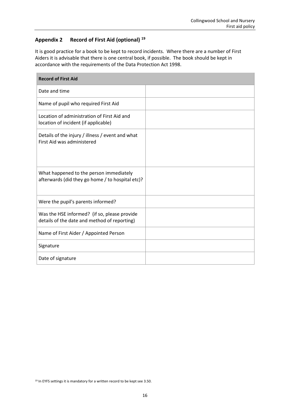# <span id="page-15-0"></span>**Appendix 2 Record of First Aid (optional) <sup>19</sup>**

It is good practice for a book to be kept to record incidents. Where there are a number of First Aiders it is advisable that there is one central book, if possible. The book should be kept in accordance with the requirements of the Data Protection Act 1998.

| <b>Record of First Aid</b>                                                                   |  |  |
|----------------------------------------------------------------------------------------------|--|--|
| Date and time                                                                                |  |  |
| Name of pupil who required First Aid                                                         |  |  |
| Location of administration of First Aid and<br>location of incident (if applicable)          |  |  |
| Details of the injury / illness / event and what<br>First Aid was administered               |  |  |
| What happened to the person immediately<br>afterwards (did they go home / to hospital etc)?  |  |  |
| Were the pupil's parents informed?                                                           |  |  |
| Was the HSE informed? (if so, please provide<br>details of the date and method of reporting) |  |  |
| Name of First Aider / Appointed Person                                                       |  |  |
| Signature                                                                                    |  |  |
| Date of signature                                                                            |  |  |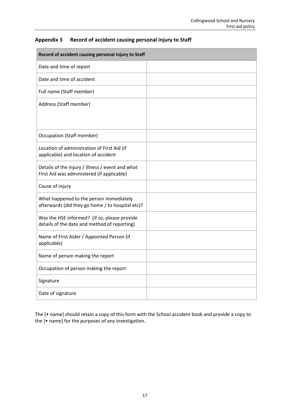| Record of accident causing personal injury to Staff                                            |  |  |
|------------------------------------------------------------------------------------------------|--|--|
| Date and time of report                                                                        |  |  |
| Date and time of accident                                                                      |  |  |
| Full name (Staff member)                                                                       |  |  |
| Address (Staff member)                                                                         |  |  |
|                                                                                                |  |  |
| <b>Occupation (Staff member)</b>                                                               |  |  |
| Location of administration of First Aid (if<br>applicable) and location of accident            |  |  |
| Details of the injury / illness / event and what<br>First Aid was administered (if applicable) |  |  |
| Cause of injury                                                                                |  |  |
| What happened to the person immediately<br>afterwards (did they go home / to hospital etc)?    |  |  |
| Was the HSE informed? (if so, please provide<br>details of the date and method of reporting)   |  |  |
| Name of First Aider / Appointed Person (if<br>applicable)                                      |  |  |
| Name of person making the report                                                               |  |  |
| Occupation of person making the report                                                         |  |  |
| Signature                                                                                      |  |  |
| Date of signature                                                                              |  |  |

# <span id="page-16-0"></span>**Appendix 3 Record of accident causing personal injury to Staff**

The [• name] should retain a copy of this form with the School accident book and provide a copy to the [• name] for the purposes of any investigation.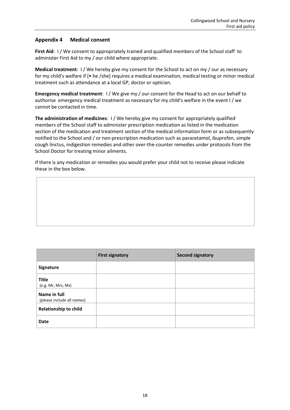# <span id="page-17-0"></span>**Appendix 4 Medical consent**

**First Aid**: I / We consent to appropriately trained and qualified members of the School staff to administer First Aid to my / our child where appropriate.

**Medical treatment**: I / We hereby give my consent for the School to act on my / our as necessary for my child's welfare if [• he /she] requires a medical examination, medical testing or minor medical treatment such as attendance at a local GP, doctor or optician.

**Emergency medical treatment**: I/We give my/our consent for the Head to act on our behalf to authorise emergency medical treatment as necessary for my child's welfare in the event I / we cannot be contacted in time.

**The administration of medicines:** I/We hereby give my consent for appropriately qualified members of the School staff to administer prescription medication as listed in the medication section of the medication and treatment section of the medical information form or as subsequently notified to the School and / or non-prescription medication such as paracetamol, ibuprofen, simple cough linctus, indigestion remedies and other over-the-counter remedies under protocols from the School Doctor for treating minor ailments.

If there is any medication or remedies you would prefer your child not to receive please indicate these in the box below.

|                                            | <b>First signatory</b> | <b>Second signatory</b> |
|--------------------------------------------|------------------------|-------------------------|
| <b>Signature</b>                           |                        |                         |
| <b>Title</b><br>(e.g. Mr, Mrs, Ms)         |                        |                         |
| Name in full<br>(please include all names) |                        |                         |
| <b>Relationship to child</b>               |                        |                         |
| Date                                       |                        |                         |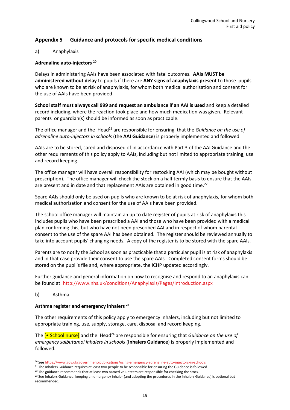# <span id="page-18-0"></span>**Appendix 5 Guidance and protocols for specific medical conditions**

#### a) Anaphylaxis

#### **Adrenaline auto-injectors** <sup>20</sup>

Delays in administering AAIs have been associated with fatal outcomes. **AAIs MUST be administered without delay** to pupils if there are **ANY signs of anaphylaxis present** to those pupils who are known to be at risk of anaphylaxis, for whom both medical authorisation and consent for the use of AAIs have been provided.

**School staff must always call 999 and request an ambulance if an AAI is used** and keep a detailed record including, where the reaction took place and how much medication was given. Relevant parents or guardian(s) should be informed as soon as practicable.

The office manager and the Head<sup>21</sup> are responsible for ensuring that the *Guidance on the use of adrenaline auto-injectors in schools* (the **AAI Guidance**) is properly implemented and followed.

AAIs are to be stored, cared and disposed of in accordance with Part 3 of the AAI Guidance and the other requirements of this policy apply to AAIs, including but not limited to appropriate training, use and record keeping.

The office manager will have overall responsibility for restocking AAI (which may be bought without prescription). The office manager will check the stock on a half termly basis to ensure that the AAIs are present and in date and that replacement AAIs are obtained in good time.<sup>22</sup>

Spare AAIs should only be used on pupils who are known to be at risk of anaphylaxis, for whom both medical authorisation and consent for the use of AAIs have been provided.

The school office manager will maintain an up to date register of pupils at risk of anaphylaxis this includes pupils who have been prescribed a AAI and those who have been provided with a medical plan confirming this, but who have not been prescribed AAI and in respect of whom parental consent to the use of the spare AAI has been obtained. The register should be reviewed annually to take into account pupils' changing needs. A copy of the register is to be stored with the spare AAIs.

Parents are to notify the School as soon as practicable that a particular pupil is at risk of anaphylaxis and in that case provide their consent to use the spare AAIs. Completed consent forms should be stored on the pupil's file and, where appropriate, the ICHP updated accordingly.

Further guidance and general information on how to recognise and respond to an anaphylaxis can be found at:<http://www.nhs.uk/conditions/Anaphylaxis/Pages/Introduction.aspx>

#### b) Asthma

#### **Asthma register and emergency inhalers <sup>23</sup>**

The other requirements of this policy apply to emergency inhalers, including but not limited to appropriate training, use, supply, storage, care, disposal and record keeping.

The **[•** School nurse] and the Head<sup>24</sup> are responsible for ensuring that *Guidance on the use of emergency salbutamol inhalers in schools* (**Inhalers Guidance**) is properly implemented and followed.

<sup>20</sup> Se[e https://www.gov.uk/government/publications/using-emergency-adrenaline-auto-injectors-in-schools](https://www.gov.uk/government/publications/using-emergency-adrenaline-auto-injectors-in-schools)

<sup>&</sup>lt;sup>21</sup> The Inhalers Guidance requires at least two people to be responsible for ensuring the Guidance is followed

 $22$  The guidance recommends that at least two named volunteers are responsible for checking the stock.

<sup>&</sup>lt;sup>23</sup> See Inhalers Guidance: keeping an emergency inhaler (and adopting the procedures in the Inhalers Guidance) is optional but recommended.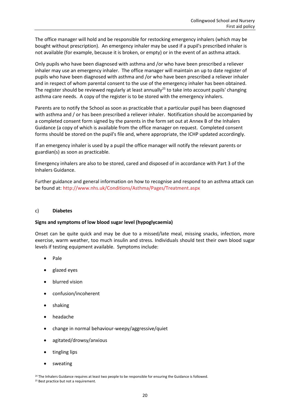The office manager will hold and be responsible for restocking emergency inhalers (which may be bought without prescription). An emergency inhaler may be used if a pupil's prescribed inhaler is not available (for example, because it is broken, or empty) or in the event of an asthma attack.

Only pupils who have been diagnosed with asthma and /or who have been prescribed a reliever inhaler may use an emergency inhaler. The office manager will maintain an up to date register of pupils who have been diagnosed with asthma and /or who have been prescribed a reliever inhaler and in respect of whom parental consent to the use of the emergency inhaler has been obtained. The register should be reviewed regularly at least annually<sup>25</sup> to take into account pupils' changing asthma care needs. A copy of the register is to be stored with the emergency inhalers.

Parents are to notify the School as soon as practicable that a particular pupil has been diagnosed with asthma and / or has been prescribed a reliever inhaler. Notification should be accompanied by a completed consent form signed by the parents in the form set out at Annex B of the Inhalers Guidance (a copy of which is available from the office manager on request. Completed consent forms should be stored on the pupil's file and, where appropriate, the ICHP updated accordingly.

If an emergency inhaler is used by a pupil the office manager will notify the relevant parents or guardian(s) as soon as practicable.

Emergency inhalers are also to be stored, cared and disposed of in accordance with Part 3 of the Inhalers Guidance.

Further guidance and general information on how to recognise and respond to an asthma attack can be found at: <http://www.nhs.uk/Conditions/Asthma/Pages/Treatment.aspx>

#### c) **Diabetes**

#### **Signs and symptoms of low blood sugar level (hypoglycaemia)**

Onset can be quite quick and may be due to a missed/late meal, missing snacks, infection, more exercise, warm weather, too much insulin and stress. Individuals should test their own blood sugar levels if testing equipment available. Symptoms include:

- Pale
- glazed eyes
- blurred vision
- confusion/incoherent
- shaking
- headache
- change in normal behaviour-weepy/aggressive/quiet
- agitated/drowsy/anxious
- tingling lips
- sweating

<sup>&</sup>lt;sup>24</sup> The Inhalers Guidance requires at least two people to be responsible for ensuring the Guidance is followed.

<sup>&</sup>lt;sup>25</sup> Best practice but not a requirement.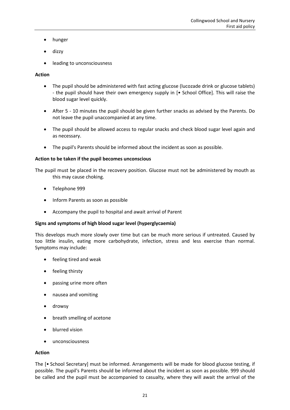- hunger
- dizzy
- leading to unconsciousness

# **Action**

- The pupil should be administered with fast acting glucose (lucozade drink or glucose tablets) - the pupil should have their own emergency supply in [• School Office]. This will raise the blood sugar level quickly.
- After 5 10 minutes the pupil should be given further snacks as advised by the Parents. Do not leave the pupil unaccompanied at any time.
- The pupil should be allowed access to regular snacks and check blood sugar level again and as necessary.
- The pupil's Parents should be informed about the incident as soon as possible.

# **Action to be taken if the pupil becomes unconscious**

The pupil must be placed in the recovery position. Glucose must not be administered by mouth as this may cause choking.

- Telephone 999
- Inform Parents as soon as possible
- Accompany the pupil to hospital and await arrival of Parent

#### **Signs and symptoms of high blood sugar level (hyperglycaemia)**

This develops much more slowly over time but can be much more serious if untreated. Caused by too little insulin, eating more carbohydrate, infection, stress and less exercise than normal. Symptoms may include:

- feeling tired and weak
- feeling thirsty
- passing urine more often
- nausea and vomiting
- drowsy
- breath smelling of acetone
- blurred vision
- unconsciousness

#### **Action**

The [• School Secretary] must be informed. Arrangements will be made for blood glucose testing, if possible. The pupil's Parents should be informed about the incident as soon as possible. 999 should be called and the pupil must be accompanied to casualty, where they will await the arrival of the